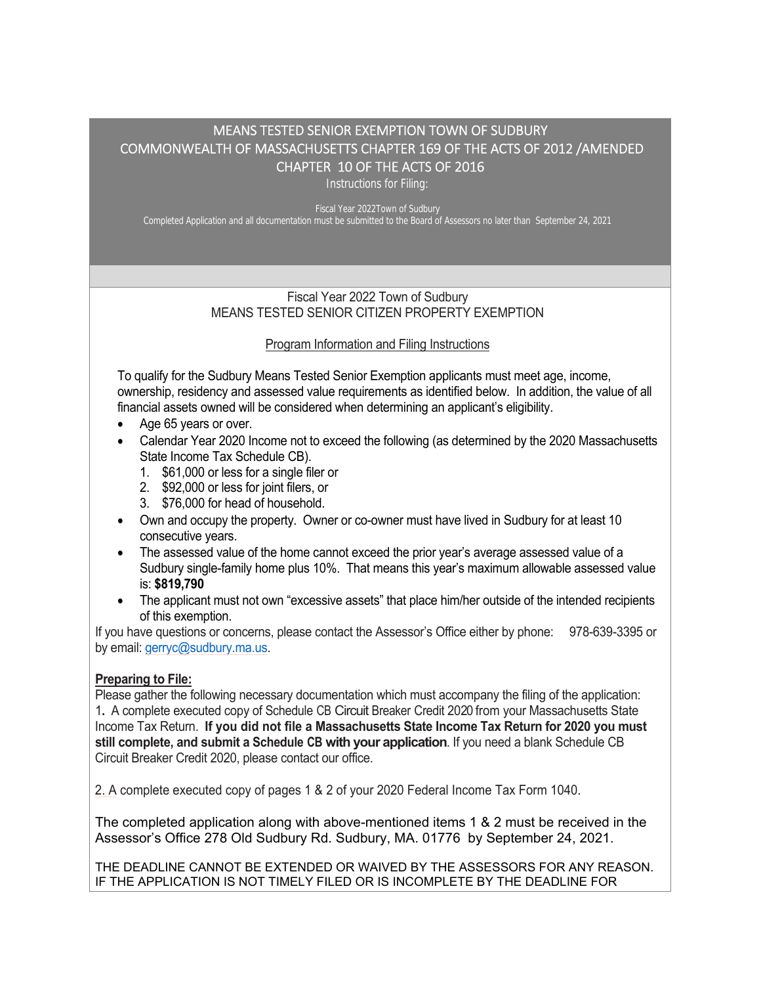# MEANS TESTED SENIOR EXEMPTION TOWN OF SUDBURY COMMONWEALTH OF MASSACHUSETTS CHAPTER 169 OF THE ACTS OF 2012 /AMENDED CHAPTER 10 OF THE ACTS OF 2016

Instructions for Filing:

Fiscal Year 2022Town of Sudbury Completed Application and all documentation must be submitted to the Board of Assessors no later than September 24, 2021

#### Fiscal Year 2022 Town of Sudbury MEANS TESTED SENIOR CITIZEN PROPERTY EXEMPTION

## Program Information and Filing Instructions

To qualify for the Sudbury Means Tested Senior Exemption applicants must meet age, income, ownership, residency and assessed value requirements as identified below. In addition, the value of all financial assets owned will be considered when determining an applicant's eligibility.

- Age 65 years or over.
- Calendar Year 2020 Income not to exceed the following (as determined by the 2020 Massachusetts State Income Tax Schedule CB).
	- 1. \$61,000 or less for a single filer or
	- 2. \$92,000 or less for joint filers, or
	- 3. \$76,000 for head of household.
- Own and occupy the property. Owner or co-owner must have lived in Sudbury for at least 10 consecutive years.
- The assessed value of the home cannot exceed the prior year's average assessed value of a Sudbury single-family home plus 10%. That means this year's maximum allowable assessed value is: **\$819,790**
- The applicant must not own "excessive assets" that place him/her outside of the intended recipients of this exemption.

If you have questions or concerns, please contact the Assessor's Office either by phone: 978-639-3395 or by email: gerryc@sudbury.ma.us.

## **Preparing to File:**

Please gather the following necessary documentation which must accompany the filing of the application: 1**.** A complete executed copy of Schedule CB Circuit Breaker Credit 2020 from your Massachusetts State Income Tax Return. **If you did not file a Massachusetts State Income Tax Return for 2020 you must still complete, and submit a Schedule CB with your application**. If you need a blank Schedule CB Circuit Breaker Credit 2020, please contact our office.

2. A complete executed copy of pages 1 & 2 of your 2020 Federal Income Tax Form 1040.

The completed application along with above-mentioned items 1 & 2 must be received in the Assessor's Office 278 Old Sudbury Rd. Sudbury, MA. 01776 by September 24, 2021.

THE DEADLINE CANNOT BE EXTENDED OR WAIVED BY THE ASSESSORS FOR ANY REASON. IF THE APPLICATION IS NOT TIMELY FILED OR IS INCOMPLETE BY THE DEADLINE FOR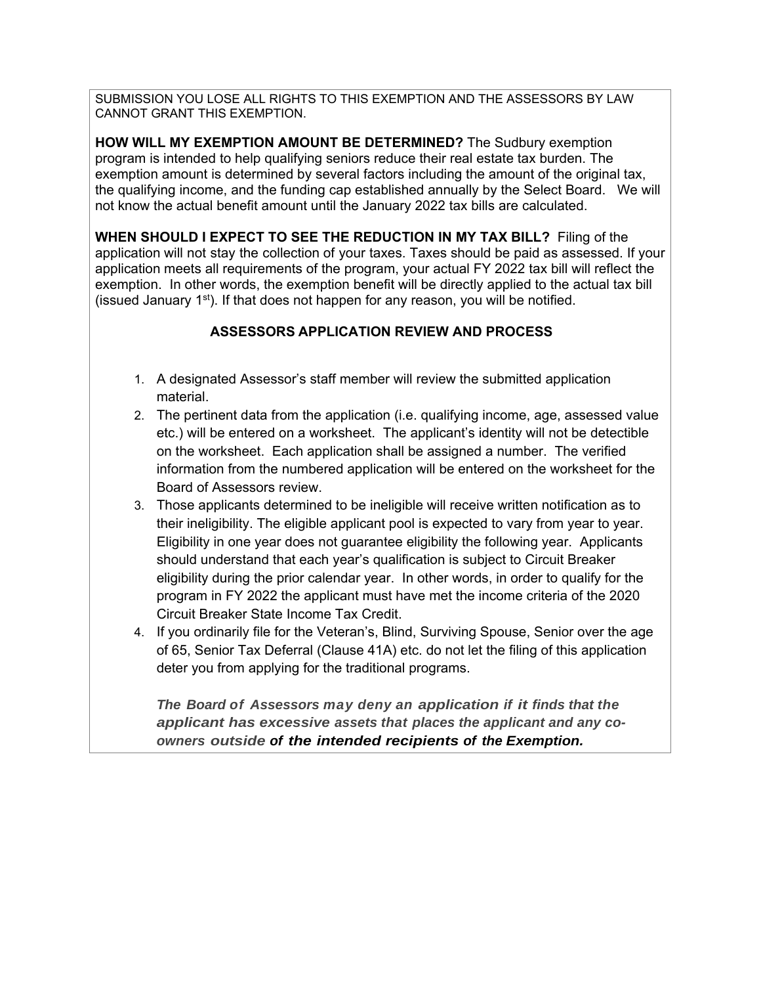SUBMISSION YOU LOSE ALL RIGHTS TO THIS EXEMPTION AND THE ASSESSORS BY LAW CANNOT GRANT THIS EXEMPTION.

**HOW WILL MY EXEMPTION AMOUNT BE DETERMINED?** The Sudbury exemption program is intended to help qualifying seniors reduce their real estate tax burden. The exemption amount is determined by several factors including the amount of the original tax, the qualifying income, and the funding cap established annually by the Select Board. We will not know the actual benefit amount until the January 2022 tax bills are calculated.

**WHEN SHOULD I EXPECT TO SEE THE REDUCTION IN MY TAX BILL?** Filing of the application will not stay the collection of your taxes. Taxes should be paid as assessed. If your application meets all requirements of the program, your actual FY 2022 tax bill will reflect the exemption. In other words, the exemption benefit will be directly applied to the actual tax bill (issued January 1st). If that does not happen for any reason, you will be notified.

## **ASSESSORS APPLICATION REVIEW AND PROCESS**

- 1. A designated Assessor's staff member will review the submitted application material.
- 2. The pertinent data from the application (i.e. qualifying income, age, assessed value etc.) will be entered on a worksheet. The applicant's identity will not be detectible on the worksheet. Each application shall be assigned a number. The verified information from the numbered application will be entered on the worksheet for the Board of Assessors review.
- 3. Those applicants determined to be ineligible will receive written notification as to their ineligibility. The eligible applicant pool is expected to vary from year to year. Eligibility in one year does not guarantee eligibility the following year. Applicants should understand that each year's qualification is subject to Circuit Breaker eligibility during the prior calendar year. In other words, in order to qualify for the program in FY 2022 the applicant must have met the income criteria of the 2020 Circuit Breaker State Income Tax Credit.
- 4. If you ordinarily file for the Veteran's, Blind, Surviving Spouse, Senior over the age of 65, Senior Tax Deferral (Clause 41A) etc. do not let the filing of this application deter you from applying for the traditional programs.

*The Board of Assessors may deny an application if it finds that the applicant has excessive assets that places the applicant and any coowners outside of the intended recipients of the Exemption.*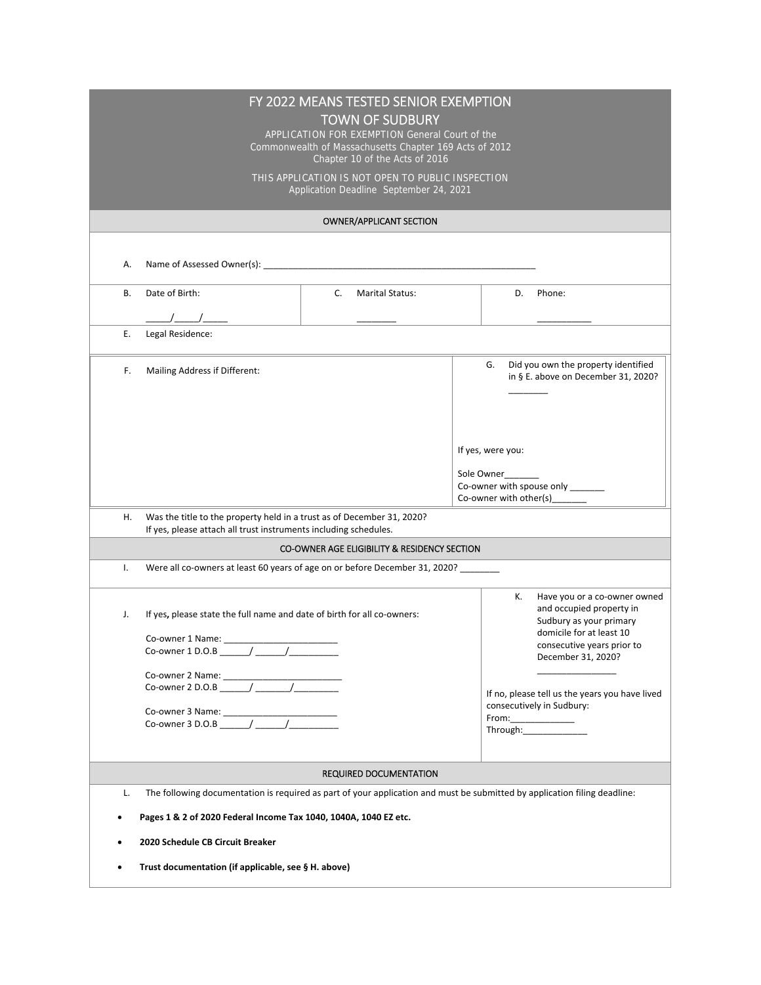| FY 2022 MEANS TESTED SENIOR EXEMPTION<br><b>TOWN OF SUDBURY</b>                                                                                  |                                                                                                                           |    |                               |                                                |                                                                                                                                                                                                                                                                                                                                                                     |                                                                             |  |  |  |
|--------------------------------------------------------------------------------------------------------------------------------------------------|---------------------------------------------------------------------------------------------------------------------------|----|-------------------------------|------------------------------------------------|---------------------------------------------------------------------------------------------------------------------------------------------------------------------------------------------------------------------------------------------------------------------------------------------------------------------------------------------------------------------|-----------------------------------------------------------------------------|--|--|--|
| APPLICATION FOR EXEMPTION General Court of the                                                                                                   |                                                                                                                           |    |                               |                                                |                                                                                                                                                                                                                                                                                                                                                                     |                                                                             |  |  |  |
| Commonwealth of Massachusetts Chapter 169 Acts of 2012<br>Chapter 10 of the Acts of 2016                                                         |                                                                                                                           |    |                               |                                                |                                                                                                                                                                                                                                                                                                                                                                     |                                                                             |  |  |  |
|                                                                                                                                                  | THIS APPLICATION IS NOT OPEN TO PUBLIC INSPECTION                                                                         |    |                               |                                                |                                                                                                                                                                                                                                                                                                                                                                     |                                                                             |  |  |  |
| Application Deadline September 24, 2021                                                                                                          |                                                                                                                           |    |                               |                                                |                                                                                                                                                                                                                                                                                                                                                                     |                                                                             |  |  |  |
| OWNER/APPLICANT SECTION                                                                                                                          |                                                                                                                           |    |                               |                                                |                                                                                                                                                                                                                                                                                                                                                                     |                                                                             |  |  |  |
|                                                                                                                                                  |                                                                                                                           |    |                               |                                                |                                                                                                                                                                                                                                                                                                                                                                     |                                                                             |  |  |  |
| Α.                                                                                                                                               |                                                                                                                           |    |                               |                                                |                                                                                                                                                                                                                                                                                                                                                                     |                                                                             |  |  |  |
| В.                                                                                                                                               | Date of Birth:                                                                                                            | C. | <b>Marital Status:</b>        |                                                | D.                                                                                                                                                                                                                                                                                                                                                                  | Phone:                                                                      |  |  |  |
|                                                                                                                                                  |                                                                                                                           |    |                               |                                                |                                                                                                                                                                                                                                                                                                                                                                     |                                                                             |  |  |  |
| Ε.                                                                                                                                               | Legal Residence:                                                                                                          |    |                               |                                                |                                                                                                                                                                                                                                                                                                                                                                     |                                                                             |  |  |  |
|                                                                                                                                                  |                                                                                                                           |    |                               |                                                |                                                                                                                                                                                                                                                                                                                                                                     |                                                                             |  |  |  |
| F.                                                                                                                                               | Mailing Address if Different:                                                                                             |    |                               |                                                | G.                                                                                                                                                                                                                                                                                                                                                                  | Did you own the property identified<br>in § E. above on December 31, 2020?  |  |  |  |
|                                                                                                                                                  |                                                                                                                           |    |                               |                                                |                                                                                                                                                                                                                                                                                                                                                                     |                                                                             |  |  |  |
|                                                                                                                                                  |                                                                                                                           |    |                               |                                                |                                                                                                                                                                                                                                                                                                                                                                     |                                                                             |  |  |  |
|                                                                                                                                                  |                                                                                                                           |    |                               |                                                |                                                                                                                                                                                                                                                                                                                                                                     |                                                                             |  |  |  |
|                                                                                                                                                  |                                                                                                                           |    |                               |                                                |                                                                                                                                                                                                                                                                                                                                                                     | If yes, were you:                                                           |  |  |  |
|                                                                                                                                                  |                                                                                                                           |    |                               | Sole Owner<br>Co-owner with spouse only ______ |                                                                                                                                                                                                                                                                                                                                                                     |                                                                             |  |  |  |
|                                                                                                                                                  |                                                                                                                           |    |                               |                                                | Co-owner with other(s)                                                                                                                                                                                                                                                                                                                                              |                                                                             |  |  |  |
| Was the title to the property held in a trust as of December 31, 2020?<br>Η.<br>If yes, please attach all trust instruments including schedules. |                                                                                                                           |    |                               |                                                |                                                                                                                                                                                                                                                                                                                                                                     |                                                                             |  |  |  |
| CO-OWNER AGE ELIGIBILITY & RESIDENCY SECTION                                                                                                     |                                                                                                                           |    |                               |                                                |                                                                                                                                                                                                                                                                                                                                                                     |                                                                             |  |  |  |
| Ι.<br>Were all co-owners at least 60 years of age on or before December 31, 2020? _______                                                        |                                                                                                                           |    |                               |                                                |                                                                                                                                                                                                                                                                                                                                                                     |                                                                             |  |  |  |
|                                                                                                                                                  |                                                                                                                           |    |                               |                                                | К.                                                                                                                                                                                                                                                                                                                                                                  | Have you or a co-owner owned<br>and occupied property in                    |  |  |  |
| J.                                                                                                                                               | If yes, please state the full name and date of birth for all co-owners:                                                   |    |                               |                                                |                                                                                                                                                                                                                                                                                                                                                                     | Sudbury as your primary                                                     |  |  |  |
|                                                                                                                                                  |                                                                                                                           |    |                               |                                                |                                                                                                                                                                                                                                                                                                                                                                     | domicile for at least 10<br>consecutive years prior to                      |  |  |  |
|                                                                                                                                                  |                                                                                                                           |    |                               |                                                |                                                                                                                                                                                                                                                                                                                                                                     | December 31, 2020?                                                          |  |  |  |
|                                                                                                                                                  |                                                                                                                           |    |                               |                                                |                                                                                                                                                                                                                                                                                                                                                                     |                                                                             |  |  |  |
|                                                                                                                                                  |                                                                                                                           |    |                               |                                                |                                                                                                                                                                                                                                                                                                                                                                     | If no, please tell us the years you have lived<br>consecutively in Sudbury: |  |  |  |
|                                                                                                                                                  |                                                                                                                           |    |                               |                                                | $\begin{picture}(20,10) \put(0,0){\vector(1,0){100}} \put(15,0){\vector(1,0){100}} \put(15,0){\vector(1,0){100}} \put(15,0){\vector(1,0){100}} \put(15,0){\vector(1,0){100}} \put(15,0){\vector(1,0){100}} \put(15,0){\vector(1,0){100}} \put(15,0){\vector(1,0){100}} \put(15,0){\vector(1,0){100}} \put(15,0){\vector(1,0){100}} \put(15,0){\vector(1,0){100}} \$ |                                                                             |  |  |  |
|                                                                                                                                                  |                                                                                                                           |    |                               |                                                |                                                                                                                                                                                                                                                                                                                                                                     |                                                                             |  |  |  |
|                                                                                                                                                  |                                                                                                                           |    | <b>REQUIRED DOCUMENTATION</b> |                                                |                                                                                                                                                                                                                                                                                                                                                                     |                                                                             |  |  |  |
| L.                                                                                                                                               | The following documentation is required as part of your application and must be submitted by application filing deadline: |    |                               |                                                |                                                                                                                                                                                                                                                                                                                                                                     |                                                                             |  |  |  |
| Pages 1 & 2 of 2020 Federal Income Tax 1040, 1040A, 1040 EZ etc.                                                                                 |                                                                                                                           |    |                               |                                                |                                                                                                                                                                                                                                                                                                                                                                     |                                                                             |  |  |  |
| 2020 Schedule CB Circuit Breaker                                                                                                                 |                                                                                                                           |    |                               |                                                |                                                                                                                                                                                                                                                                                                                                                                     |                                                                             |  |  |  |
| Trust documentation (if applicable, see § H. above)                                                                                              |                                                                                                                           |    |                               |                                                |                                                                                                                                                                                                                                                                                                                                                                     |                                                                             |  |  |  |
|                                                                                                                                                  |                                                                                                                           |    |                               |                                                |                                                                                                                                                                                                                                                                                                                                                                     |                                                                             |  |  |  |